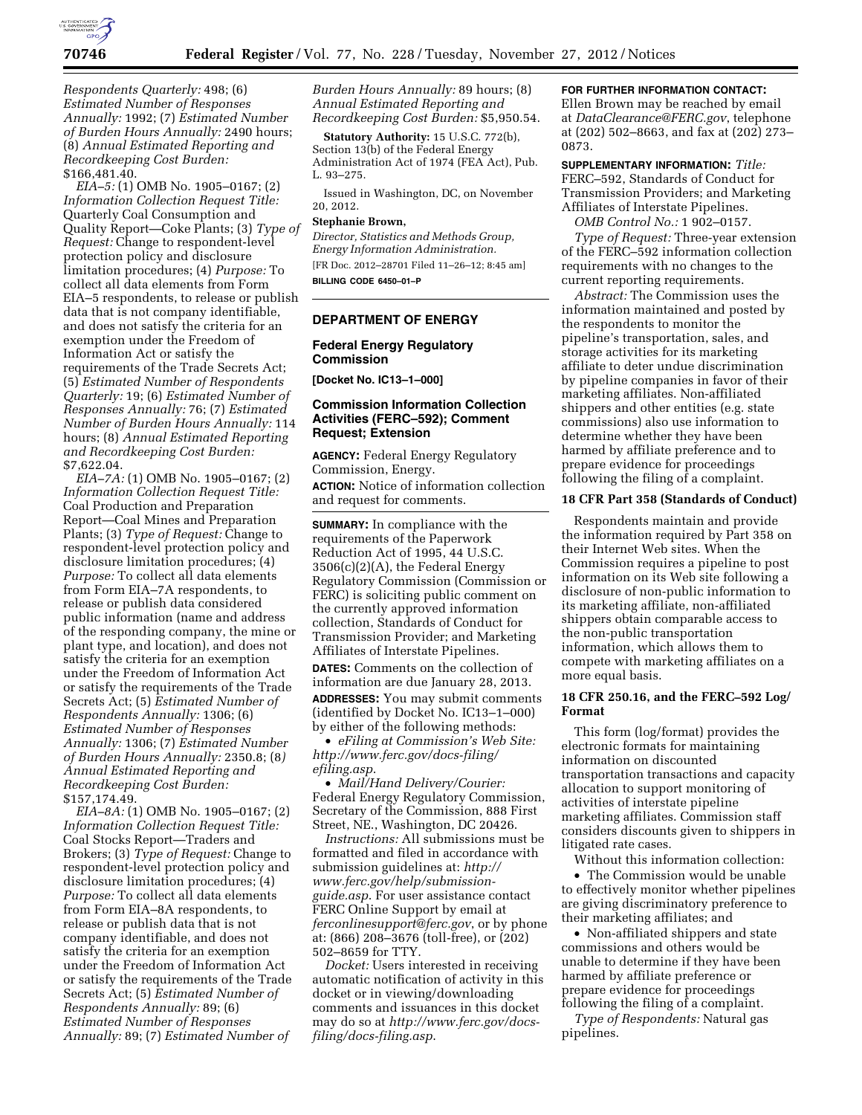

*Respondents Quarterly:* 498; (6) *Estimated Number of Responses Annually:* 1992; (7) *Estimated Number of Burden Hours Annually:* 2490 hours; (8) *Annual Estimated Reporting and Recordkeeping Cost Burden:*  \$166,481.40.

*EIA–5:* (1) OMB No. 1905–0167; (2) *Information Collection Request Title:*  Quarterly Coal Consumption and Quality Report—Coke Plants; (3) *Type of Request:* Change to respondent-level protection policy and disclosure limitation procedures; (4) *Purpose:* To collect all data elements from Form EIA–5 respondents, to release or publish data that is not company identifiable, and does not satisfy the criteria for an exemption under the Freedom of Information Act or satisfy the requirements of the Trade Secrets Act; (5) *Estimated Number of Respondents Quarterly:* 19; (6) *Estimated Number of Responses Annually:* 76; (7) *Estimated Number of Burden Hours Annually:* 114 hours; (8) *Annual Estimated Reporting and Recordkeeping Cost Burden:*  \$7,622.04.

*EIA–7A:* (1) OMB No. 1905–0167; (2) *Information Collection Request Title:*  Coal Production and Preparation Report—Coal Mines and Preparation Plants; (3) *Type of Request:* Change to respondent-level protection policy and disclosure limitation procedures; (4) *Purpose:* To collect all data elements from Form EIA–7A respondents, to release or publish data considered public information (name and address of the responding company, the mine or plant type, and location), and does not satisfy the criteria for an exemption under the Freedom of Information Act or satisfy the requirements of the Trade Secrets Act; (5) *Estimated Number of Respondents Annually:* 1306; (6) *Estimated Number of Responses Annually:* 1306; (7) *Estimated Number of Burden Hours Annually:* 2350.8; (8*) Annual Estimated Reporting and Recordkeeping Cost Burden:*  \$157,174.49.

*EIA–8A:* (1) OMB No. 1905–0167; (2) *Information Collection Request Title:*  Coal Stocks Report—Traders and Brokers; (3) *Type of Request:* Change to respondent-level protection policy and disclosure limitation procedures; (4) *Purpose:* To collect all data elements from Form EIA–8A respondents, to release or publish data that is not company identifiable, and does not satisfy the criteria for an exemption under the Freedom of Information Act or satisfy the requirements of the Trade Secrets Act; (5) *Estimated Number of Respondents Annually:* 89; (6) *Estimated Number of Responses Annually:* 89; (7) *Estimated Number of* 

*Burden Hours Annually:* 89 hours; (8) *Annual Estimated Reporting and Recordkeeping Cost Burden:* \$5,950.54.

**Statutory Authority:** 15 U.S.C. 772(b), Section 13(b) of the Federal Energy Administration Act of 1974 (FEA Act), Pub. L. 93–275.

Issued in Washington, DC, on November 20, 2012.

#### **Stephanie Brown,**

*Director, Statistics and Methods Group, Energy Information Administration.*  [FR Doc. 2012–28701 Filed 11–26–12; 8:45 am] **BILLING CODE 6450–01–P** 

### **DEPARTMENT OF ENERGY**

### **Federal Energy Regulatory Commission**

**[Docket No. IC13–1–000]** 

### **Commission Information Collection Activities (FERC–592); Comment Request; Extension**

**AGENCY:** Federal Energy Regulatory Commission, Energy. **ACTION:** Notice of information collection and request for comments.

**SUMMARY:** In compliance with the requirements of the Paperwork Reduction Act of 1995, 44 U.S.C. 3506(c)(2)(A), the Federal Energy Regulatory Commission (Commission or FERC) is soliciting public comment on the currently approved information collection, Standards of Conduct for Transmission Provider; and Marketing Affiliates of Interstate Pipelines.

**DATES:** Comments on the collection of information are due January 28, 2013. **ADDRESSES:** You may submit comments (identified by Docket No. IC13–1–000) by either of the following methods:

• *eFiling at Commission's Web Site: [http://www.ferc.gov/docs-filing/](http://www.ferc.gov/docs-filing/efiling.asp) [efiling.asp](http://www.ferc.gov/docs-filing/efiling.asp)*.

• *Mail/Hand Delivery/Courier:*  Federal Energy Regulatory Commission, Secretary of the Commission, 888 First Street, NE., Washington, DC 20426.

*Instructions:* All submissions must be formatted and filed in accordance with submission guidelines at: *[http://](http://www.ferc.gov/help/submission-guide.asp)  [www.ferc.gov/help/submission](http://www.ferc.gov/help/submission-guide.asp)[guide.asp](http://www.ferc.gov/help/submission-guide.asp)*. For user assistance contact FERC Online Support by email at *[ferconlinesupport@ferc.gov](mailto:ferconlinesupport@ferc.gov)*, or by phone at: (866) 208–3676 (toll-free), or (202) 502–8659 for TTY.

*Docket:* Users interested in receiving automatic notification of activity in this docket or in viewing/downloading comments and issuances in this docket may do so at *[http://www.ferc.gov/docs](http://www.ferc.gov/docs-filing/docs-filing.asp)[filing/docs-filing.asp](http://www.ferc.gov/docs-filing/docs-filing.asp)*.

# **FOR FURTHER INFORMATION CONTACT:**

Ellen Brown may be reached by email at *[DataClearance@FERC.gov](mailto:DataClearance@FERC.gov)*, telephone at (202) 502–8663, and fax at (202) 273– 0873.

**SUPPLEMENTARY INFORMATION:** *Title:*  FERC–592, Standards of Conduct for Transmission Providers; and Marketing Affiliates of Interstate Pipelines.

*OMB Control No.:* 1 902–0157. *Type of Request:* Three-year extension

of the FERC–592 information collection requirements with no changes to the current reporting requirements.

*Abstract:* The Commission uses the information maintained and posted by the respondents to monitor the pipeline's transportation, sales, and storage activities for its marketing affiliate to deter undue discrimination by pipeline companies in favor of their marketing affiliates. Non-affiliated shippers and other entities (e.g. state commissions) also use information to determine whether they have been harmed by affiliate preference and to prepare evidence for proceedings following the filing of a complaint.

#### **18 CFR Part 358 (Standards of Conduct)**

Respondents maintain and provide the information required by Part 358 on their Internet Web sites. When the Commission requires a pipeline to post information on its Web site following a disclosure of non-public information to its marketing affiliate, non-affiliated shippers obtain comparable access to the non-public transportation information, which allows them to compete with marketing affiliates on a more equal basis.

### **18 CFR 250.16, and the FERC–592 Log/ Format**

This form (log/format) provides the electronic formats for maintaining information on discounted transportation transactions and capacity allocation to support monitoring of activities of interstate pipeline marketing affiliates. Commission staff considers discounts given to shippers in litigated rate cases.

Without this information collection: • The Commission would be unable to effectively monitor whether pipelines are giving discriminatory preference to their marketing affiliates; and

• Non-affiliated shippers and state commissions and others would be unable to determine if they have been harmed by affiliate preference or prepare evidence for proceedings following the filing of a complaint.

*Type of Respondents:* Natural gas pipelines.